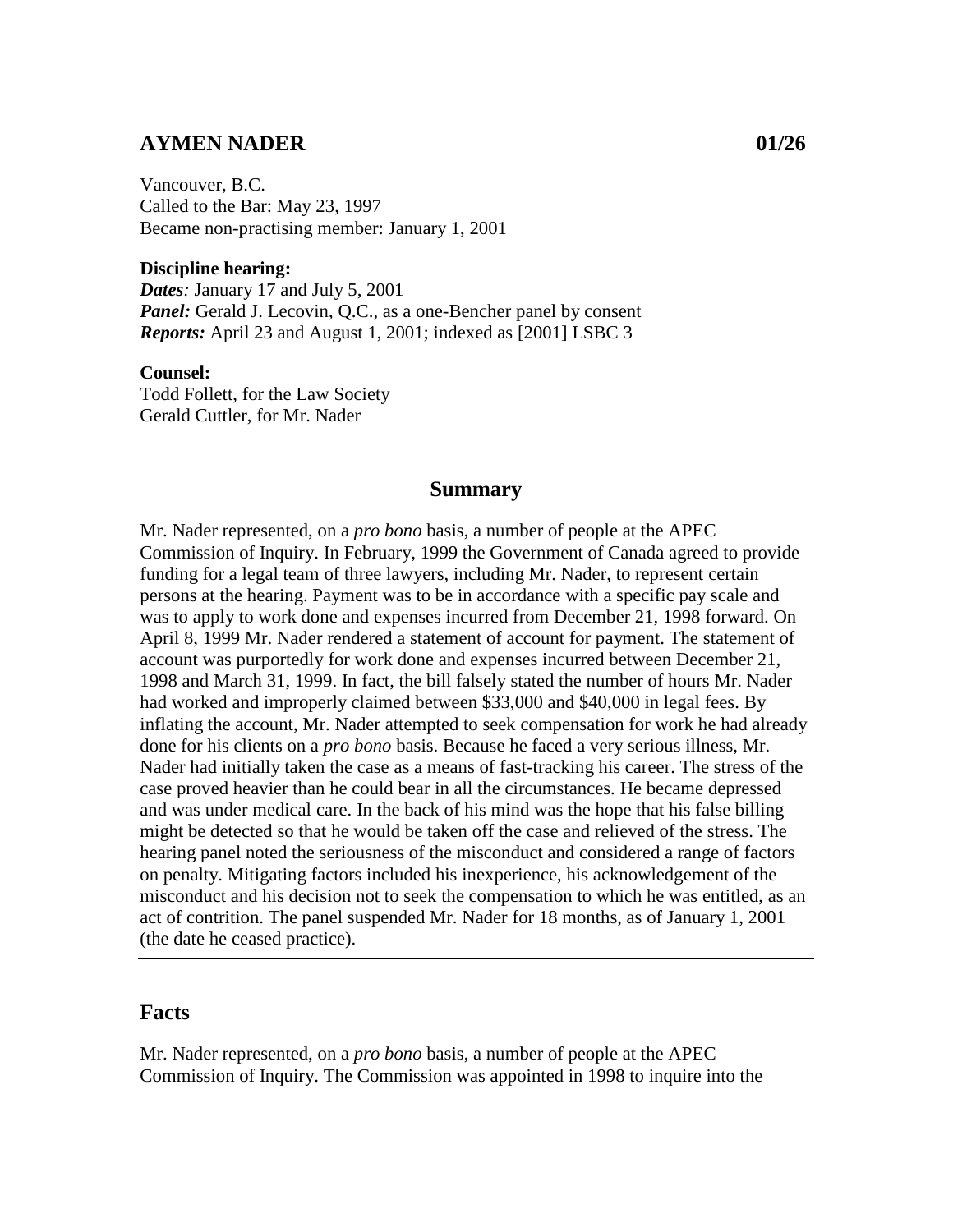# **AYMEN NADER 01/26**

Vancouver, B.C. Called to the Bar: May 23, 1997 Became non-practising member: January 1, 2001

### **Discipline hearing:**

*Dates:* January 17 and July 5, 2001 *Panel:* Gerald J. Lecovin, Q.C., as a one-Bencher panel by consent *Reports:* April 23 and August 1, 2001; indexed as [2001] LSBC 3

#### **Counsel:**

Todd Follett, for the Law Society Gerald Cuttler, for Mr. Nader

### **Summary**

Mr. Nader represented, on a *pro bono* basis, a number of people at the APEC Commission of Inquiry. In February, 1999 the Government of Canada agreed to provide funding for a legal team of three lawyers, including Mr. Nader, to represent certain persons at the hearing. Payment was to be in accordance with a specific pay scale and was to apply to work done and expenses incurred from December 21, 1998 forward. On April 8, 1999 Mr. Nader rendered a statement of account for payment. The statement of account was purportedly for work done and expenses incurred between December 21, 1998 and March 31, 1999. In fact, the bill falsely stated the number of hours Mr. Nader had worked and improperly claimed between \$33,000 and \$40,000 in legal fees. By inflating the account, Mr. Nader attempted to seek compensation for work he had already done for his clients on a *pro bono* basis. Because he faced a very serious illness, Mr. Nader had initially taken the case as a means of fast-tracking his career. The stress of the case proved heavier than he could bear in all the circumstances. He became depressed and was under medical care. In the back of his mind was the hope that his false billing might be detected so that he would be taken off the case and relieved of the stress. The hearing panel noted the seriousness of the misconduct and considered a range of factors on penalty. Mitigating factors included his inexperience, his acknowledgement of the misconduct and his decision not to seek the compensation to which he was entitled, as an act of contrition. The panel suspended Mr. Nader for 18 months, as of January 1, 2001 (the date he ceased practice).

## **Facts**

Mr. Nader represented, on a *pro bono* basis, a number of people at the APEC Commission of Inquiry. The Commission was appointed in 1998 to inquire into the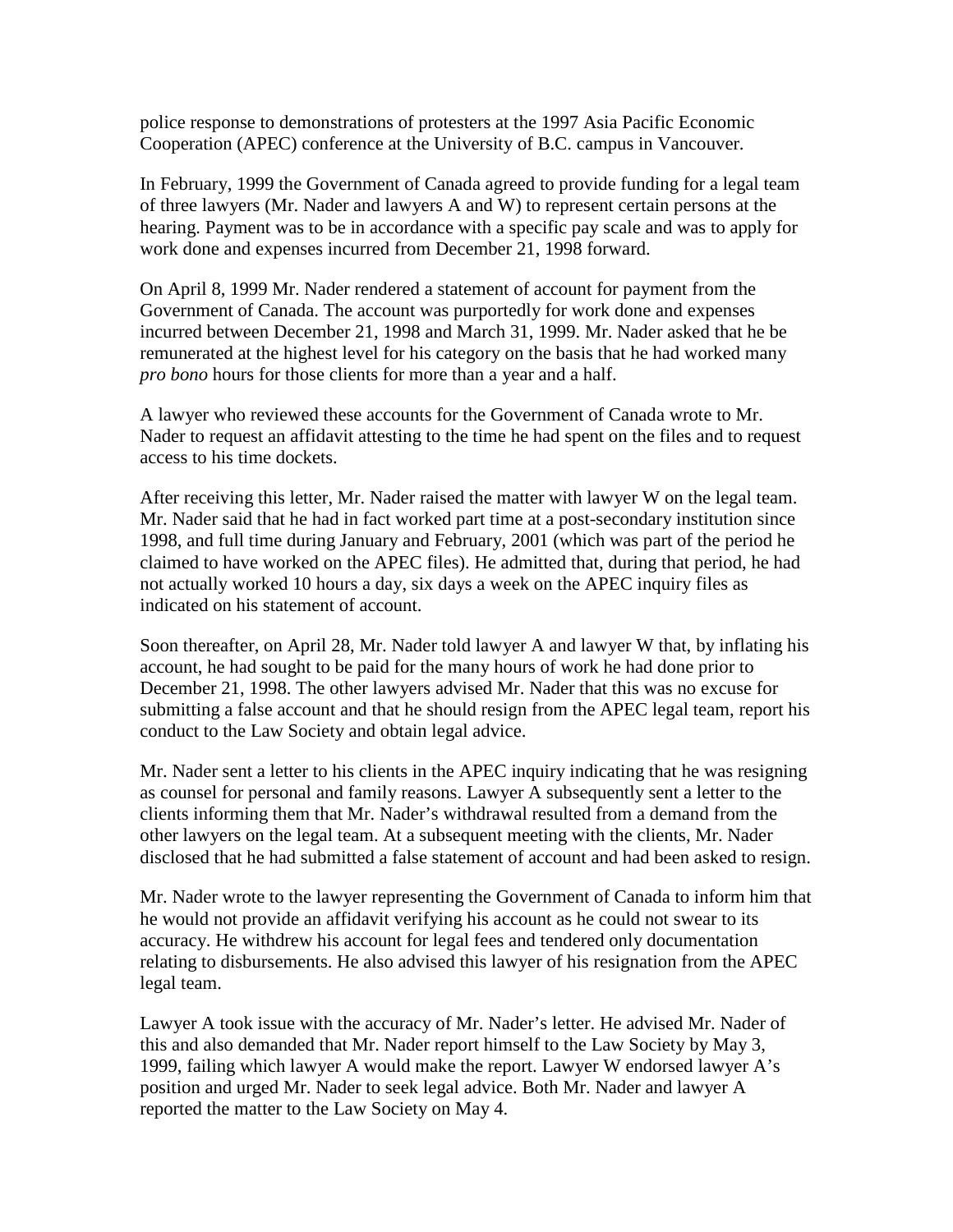police response to demonstrations of protesters at the 1997 Asia Pacific Economic Cooperation (APEC) conference at the University of B.C. campus in Vancouver.

In February, 1999 the Government of Canada agreed to provide funding for a legal team of three lawyers (Mr. Nader and lawyers A and W) to represent certain persons at the hearing. Payment was to be in accordance with a specific pay scale and was to apply for work done and expenses incurred from December 21, 1998 forward.

On April 8, 1999 Mr. Nader rendered a statement of account for payment from the Government of Canada. The account was purportedly for work done and expenses incurred between December 21, 1998 and March 31, 1999. Mr. Nader asked that he be remunerated at the highest level for his category on the basis that he had worked many *pro bono* hours for those clients for more than a year and a half.

A lawyer who reviewed these accounts for the Government of Canada wrote to Mr. Nader to request an affidavit attesting to the time he had spent on the files and to request access to his time dockets.

After receiving this letter, Mr. Nader raised the matter with lawyer W on the legal team. Mr. Nader said that he had in fact worked part time at a post-secondary institution since 1998, and full time during January and February, 2001 (which was part of the period he claimed to have worked on the APEC files). He admitted that, during that period, he had not actually worked 10 hours a day, six days a week on the APEC inquiry files as indicated on his statement of account.

Soon thereafter, on April 28, Mr. Nader told lawyer A and lawyer W that, by inflating his account, he had sought to be paid for the many hours of work he had done prior to December 21, 1998. The other lawyers advised Mr. Nader that this was no excuse for submitting a false account and that he should resign from the APEC legal team, report his conduct to the Law Society and obtain legal advice.

Mr. Nader sent a letter to his clients in the APEC inquiry indicating that he was resigning as counsel for personal and family reasons. Lawyer A subsequently sent a letter to the clients informing them that Mr. Nader's withdrawal resulted from a demand from the other lawyers on the legal team. At a subsequent meeting with the clients, Mr. Nader disclosed that he had submitted a false statement of account and had been asked to resign.

Mr. Nader wrote to the lawyer representing the Government of Canada to inform him that he would not provide an affidavit verifying his account as he could not swear to its accuracy. He withdrew his account for legal fees and tendered only documentation relating to disbursements. He also advised this lawyer of his resignation from the APEC legal team.

Lawyer A took issue with the accuracy of Mr. Nader's letter. He advised Mr. Nader of this and also demanded that Mr. Nader report himself to the Law Society by May 3, 1999, failing which lawyer A would make the report. Lawyer W endorsed lawyer A's position and urged Mr. Nader to seek legal advice. Both Mr. Nader and lawyer A reported the matter to the Law Society on May 4.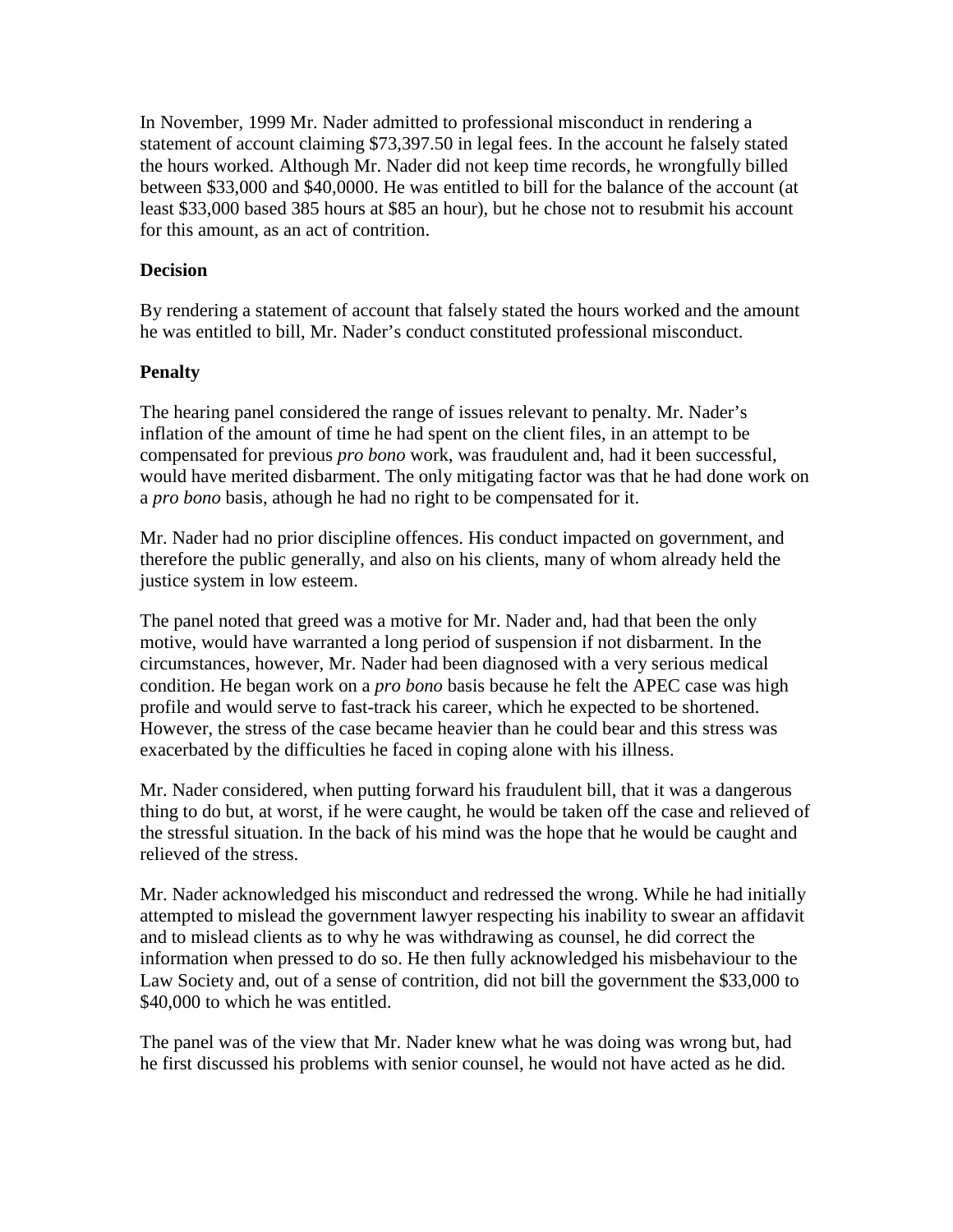In November, 1999 Mr. Nader admitted to professional misconduct in rendering a statement of account claiming \$73,397.50 in legal fees. In the account he falsely stated the hours worked. Although Mr. Nader did not keep time records, he wrongfully billed between \$33,000 and \$40,0000. He was entitled to bill for the balance of the account (at least \$33,000 based 385 hours at \$85 an hour), but he chose not to resubmit his account for this amount, as an act of contrition.

### **Decision**

By rendering a statement of account that falsely stated the hours worked and the amount he was entitled to bill, Mr. Nader's conduct constituted professional misconduct.

## **Penalty**

The hearing panel considered the range of issues relevant to penalty. Mr. Nader's inflation of the amount of time he had spent on the client files, in an attempt to be compensated for previous *pro bono* work, was fraudulent and, had it been successful, would have merited disbarment. The only mitigating factor was that he had done work on a *pro bono* basis, athough he had no right to be compensated for it.

Mr. Nader had no prior discipline offences. His conduct impacted on government, and therefore the public generally, and also on his clients, many of whom already held the justice system in low esteem.

The panel noted that greed was a motive for Mr. Nader and, had that been the only motive, would have warranted a long period of suspension if not disbarment. In the circumstances, however, Mr. Nader had been diagnosed with a very serious medical condition. He began work on a *pro bono* basis because he felt the APEC case was high profile and would serve to fast-track his career, which he expected to be shortened. However, the stress of the case became heavier than he could bear and this stress was exacerbated by the difficulties he faced in coping alone with his illness.

Mr. Nader considered, when putting forward his fraudulent bill, that it was a dangerous thing to do but, at worst, if he were caught, he would be taken off the case and relieved of the stressful situation. In the back of his mind was the hope that he would be caught and relieved of the stress.

Mr. Nader acknowledged his misconduct and redressed the wrong. While he had initially attempted to mislead the government lawyer respecting his inability to swear an affidavit and to mislead clients as to why he was withdrawing as counsel, he did correct the information when pressed to do so. He then fully acknowledged his misbehaviour to the Law Society and, out of a sense of contrition, did not bill the government the \$33,000 to \$40,000 to which he was entitled.

The panel was of the view that Mr. Nader knew what he was doing was wrong but, had he first discussed his problems with senior counsel, he would not have acted as he did.